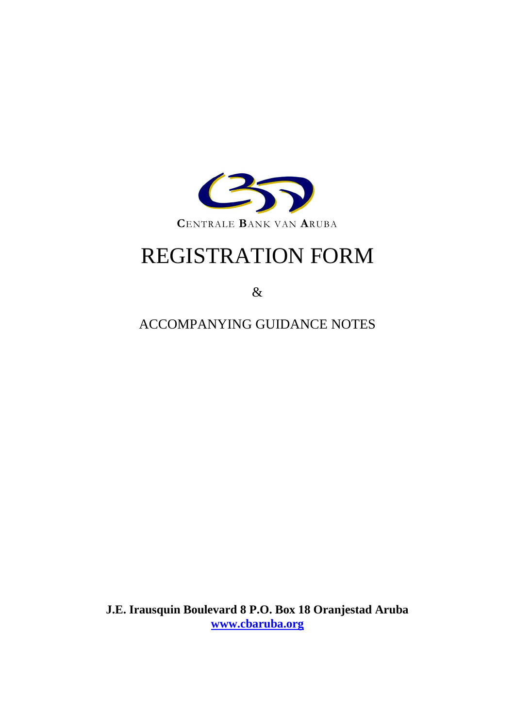

## REGISTRATION FORM

&

ACCOMPANYING GUIDANCE NOTES

**J.E. Irausquin Boulevard 8 P.O. Box 18 Oranjestad Aruba [www.cbaruba.org](http://www.cbaruba.org/)**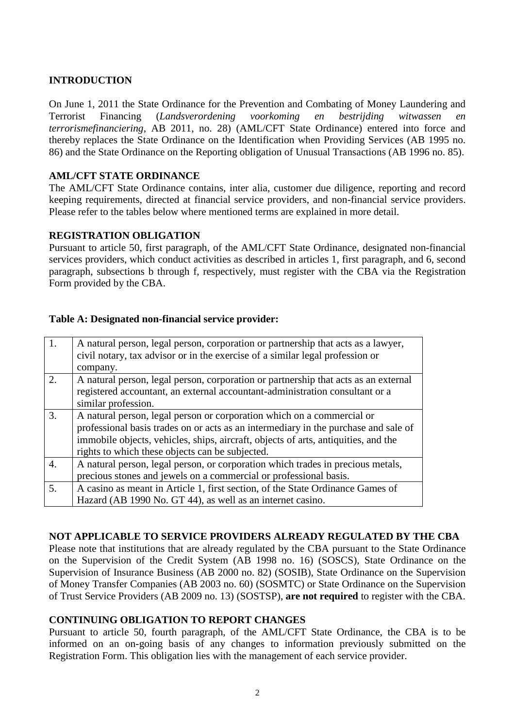#### **INTRODUCTION**

On June 1, 2011 the State Ordinance for the Prevention and Combating of Money Laundering and Terrorist Financing (*Landsverordening voorkoming en bestrijding witwassen en terrorismefinanciering*, AB 2011, no. 28) (AML/CFT State Ordinance) entered into force and thereby replaces the State Ordinance on the Identification when Providing Services (AB 1995 no. 86) and the State Ordinance on the Reporting obligation of Unusual Transactions (AB 1996 no. 85).

#### **AML/CFT STATE ORDINANCE**

The AML/CFT State Ordinance contains, inter alia, customer due diligence, reporting and record keeping requirements, directed at financial service providers, and non-financial service providers. Please refer to the tables below where mentioned terms are explained in more detail.

#### **REGISTRATION OBLIGATION**

Pursuant to article 50, first paragraph, of the AML/CFT State Ordinance, designated non-financial services providers, which conduct activities as described in articles 1, first paragraph, and 6, second paragraph, subsections b through f, respectively, must register with the CBA via the Registration Form provided by the CBA.

| 1.               | A natural person, legal person, corporation or partnership that acts as a lawyer,   |
|------------------|-------------------------------------------------------------------------------------|
|                  | civil notary, tax advisor or in the exercise of a similar legal profession or       |
|                  | company.                                                                            |
| 2.               | A natural person, legal person, corporation or partnership that acts as an external |
|                  | registered accountant, an external accountant-administration consultant or a        |
|                  | similar profession.                                                                 |
| 3.               | A natural person, legal person or corporation which on a commercial or              |
|                  | professional basis trades on or acts as an intermediary in the purchase and sale of |
|                  | immobile objects, vehicles, ships, aircraft, objects of arts, antiquities, and the  |
|                  | rights to which these objects can be subjected.                                     |
| $\overline{4}$ . | A natural person, legal person, or corporation which trades in precious metals,     |
|                  | precious stones and jewels on a commercial or professional basis.                   |
| 5.               | A casino as meant in Article 1, first section, of the State Ordinance Games of      |
|                  | Hazard (AB 1990 No. GT 44), as well as an internet casino.                          |

#### **Table A: Designated non-financial service provider:**

#### **NOT APPLICABLE TO SERVICE PROVIDERS ALREADY REGULATED BY THE CBA**

Please note that institutions that are already regulated by the CBA pursuant to the State Ordinance on the Supervision of the Credit System (AB 1998 no. 16) (SOSCS), State Ordinance on the Supervision of Insurance Business (AB 2000 no. 82) (SOSIB), State Ordinance on the Supervision of Money Transfer Companies (AB 2003 no. 60) (SOSMTC) or State Ordinance on the Supervision of Trust Service Providers (AB 2009 no. 13) (SOSTSP), **are not required** to register with the CBA.

#### **CONTINUING OBLIGATION TO REPORT CHANGES**

Pursuant to article 50, fourth paragraph, of the AML/CFT State Ordinance, the CBA is to be informed on an on-going basis of any changes to information previously submitted on the Registration Form. This obligation lies with the management of each service provider.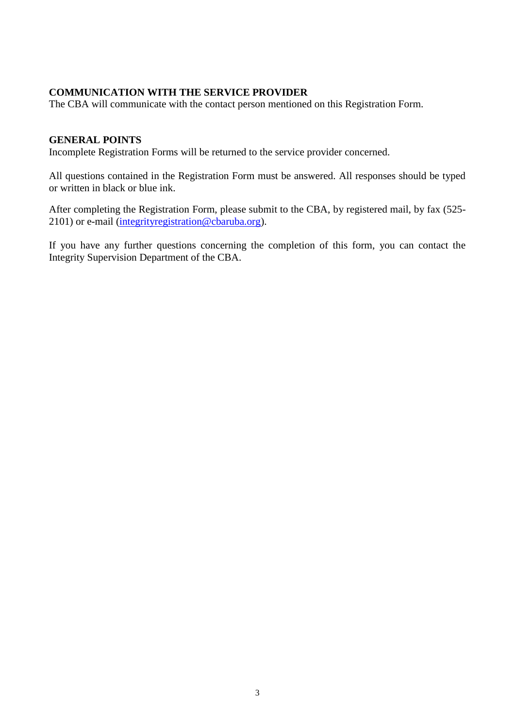#### **COMMUNICATION WITH THE SERVICE PROVIDER**

The CBA will communicate with the contact person mentioned on this Registration Form.

#### **GENERAL POINTS**

Incomplete Registration Forms will be returned to the service provider concerned.

All questions contained in the Registration Form must be answered. All responses should be typed or written in black or blue ink.

After completing the Registration Form, please submit to the CBA, by registered mail, by fax (525- 2101) or e-mail [\(integrityregistration@cbaruba.org\)](mailto:integrityregistration@cbaruba.org).

If you have any further questions concerning the completion of this form, you can contact the Integrity Supervision Department of the CBA.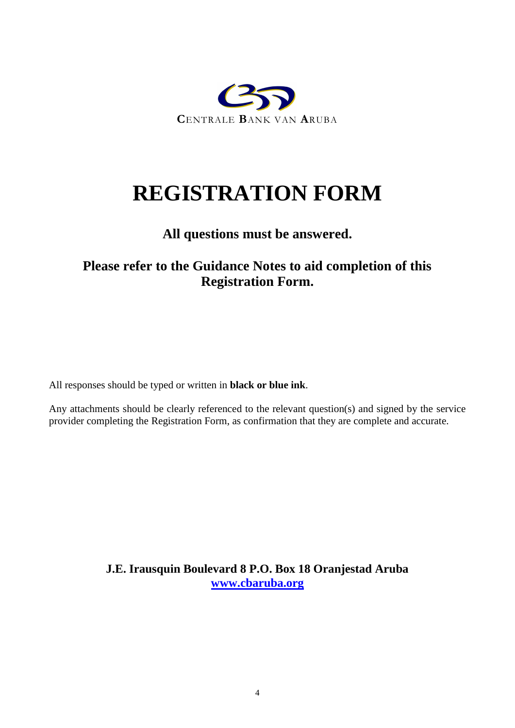

# **REGISTRATION FORM**

### **All questions must be answered.**

## **Please refer to the Guidance Notes to aid completion of this Registration Form.**

All responses should be typed or written in **black or blue ink**.

Any attachments should be clearly referenced to the relevant question(s) and signed by the service provider completing the Registration Form, as confirmation that they are complete and accurate.

> **J.E. Irausquin Boulevard 8 P.O. Box 18 Oranjestad Aruba [www.cbaruba.org](http://www.cbaruba.org/)**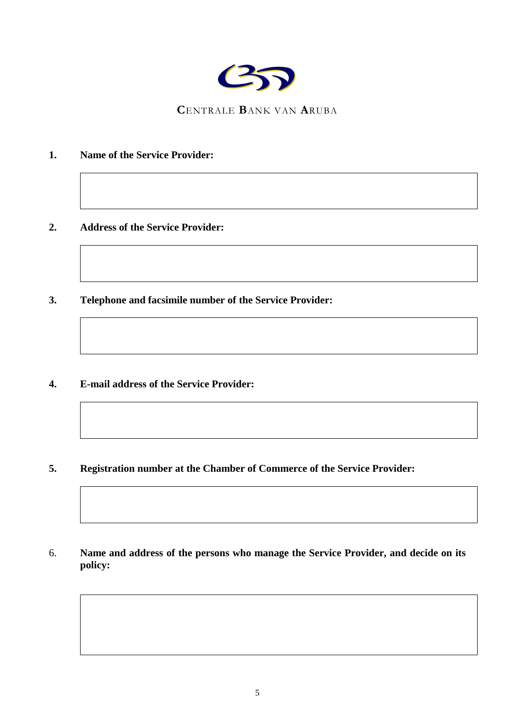

**C**ENTRALE **B**ANK VAN **A**RUBA

- **1. Name of the Service Provider:**
- **2. Address of the Service Provider:**
- **3. Telephone and facsimile number of the Service Provider:**
- **4. E-mail address of the Service Provider:**
- **5. Registration number at the Chamber of Commerce of the Service Provider:**

6. **Name and address of the persons who manage the Service Provider, and decide on its policy:**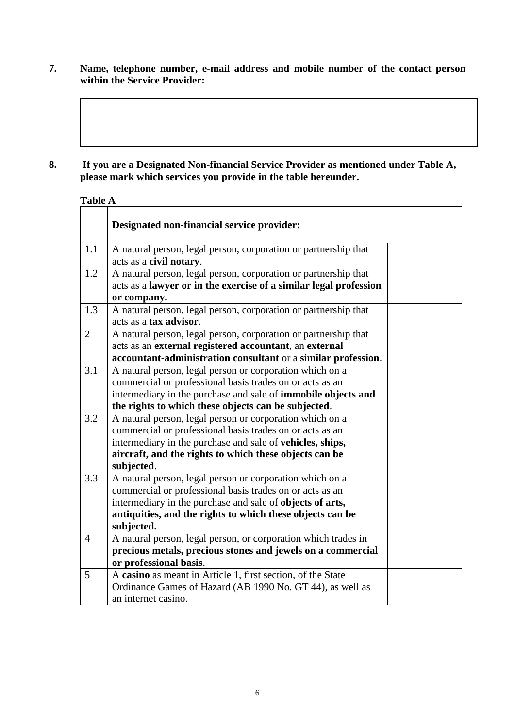**7. Name, telephone number, e-mail address and mobile number of the contact person within the Service Provider:**

#### **8. If you are a Designated Non-financial Service Provider as mentioned under Table A, please mark which services you provide in the table hereunder.**

#### **Table A**

|                | Designated non-financial service provider:                                                                                           |  |
|----------------|--------------------------------------------------------------------------------------------------------------------------------------|--|
| 1.1            | A natural person, legal person, corporation or partnership that<br>acts as a civil notary.                                           |  |
| 1.2            | A natural person, legal person, corporation or partnership that<br>acts as a lawyer or in the exercise of a similar legal profession |  |
|                | or company.                                                                                                                          |  |
| 1.3            | A natural person, legal person, corporation or partnership that<br>acts as a tax advisor.                                            |  |
| 2              | A natural person, legal person, corporation or partnership that                                                                      |  |
|                | acts as an external registered accountant, an external                                                                               |  |
|                | accountant-administration consultant or a similar profession.                                                                        |  |
| 3.1            | A natural person, legal person or corporation which on a                                                                             |  |
|                | commercial or professional basis trades on or acts as an                                                                             |  |
|                | intermediary in the purchase and sale of <b>immobile objects and</b>                                                                 |  |
|                | the rights to which these objects can be subjected.                                                                                  |  |
| 3.2            | A natural person, legal person or corporation which on a                                                                             |  |
|                | commercial or professional basis trades on or acts as an                                                                             |  |
|                | intermediary in the purchase and sale of vehicles, ships,                                                                            |  |
|                | aircraft, and the rights to which these objects can be                                                                               |  |
|                | subjected.                                                                                                                           |  |
| 3.3            | A natural person, legal person or corporation which on a                                                                             |  |
|                | commercial or professional basis trades on or acts as an                                                                             |  |
|                | intermediary in the purchase and sale of objects of arts,                                                                            |  |
|                | antiquities, and the rights to which these objects can be                                                                            |  |
|                | subjected.                                                                                                                           |  |
| $\overline{4}$ | A natural person, legal person, or corporation which trades in                                                                       |  |
|                | precious metals, precious stones and jewels on a commercial                                                                          |  |
|                | or professional basis.                                                                                                               |  |
| 5              | A casino as meant in Article 1, first section, of the State                                                                          |  |
|                | Ordinance Games of Hazard (AB 1990 No. GT 44), as well as                                                                            |  |
|                | an internet casino.                                                                                                                  |  |